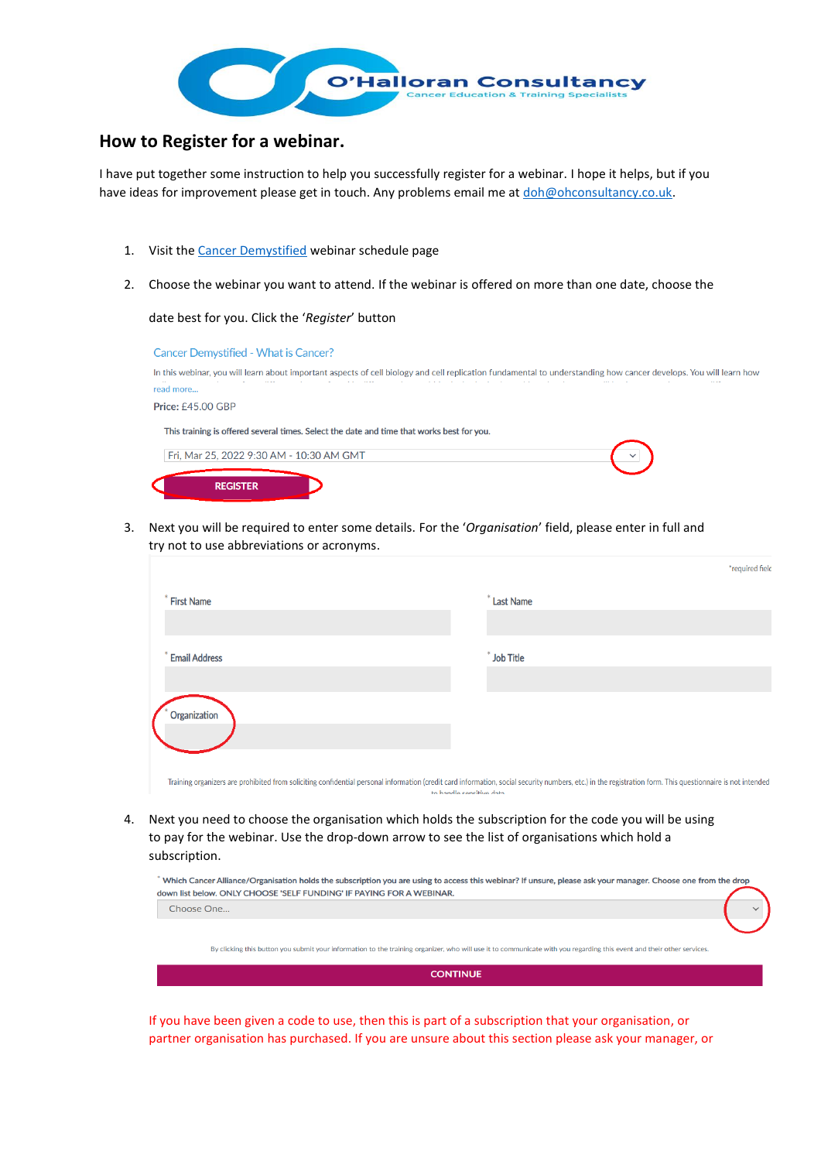

## **How to Register for a webinar.**

I have put together some instruction to help you successfully register for a webinar. I hope it helps, but if you have ideas for improvement please get in touch. Any problems email me a[t doh@ohconsultancy.co.uk.](mailto:doh@ohconsultancy.co.uk)

- 1. Visit th[e Cancer Demystified](https://attendee.gototraining.com/37l5q/catalog/8011371953429757952?tz=Europe/London) webinar schedule page
- 2. Choose the webinar you want to attend. If the webinar is offered on more than one date, choose the

date best for you. Click the '*Register*' button

| <b>Cancer Demystified - What is Cancer?</b>                                                                                                                       |
|-------------------------------------------------------------------------------------------------------------------------------------------------------------------|
| In this webinar, you will learn about important aspects of cell biology and cell replication fundamental to understanding how cancer develops. You will learn how |
| read more                                                                                                                                                         |
| <b>Price: £45.00 GBP</b>                                                                                                                                          |
| This training is offered several times. Select the date and time that works best for you.                                                                         |
| Fri, Mar 25, 2022 9:30 AM - 10:30 AM GMT                                                                                                                          |
| <b>REGISTER</b>                                                                                                                                                   |

3. Next you will be required to enter some details. For the '*Organisation*' field, please enter in full and try not to use abbreviations or acronyms.

|                                                                                                                                                                                                                                        | *required field  |  |
|----------------------------------------------------------------------------------------------------------------------------------------------------------------------------------------------------------------------------------------|------------------|--|
| <b>First Name</b>                                                                                                                                                                                                                      | <b>Last Name</b> |  |
|                                                                                                                                                                                                                                        |                  |  |
| <b>Email Address</b>                                                                                                                                                                                                                   | <b>Job Title</b> |  |
|                                                                                                                                                                                                                                        |                  |  |
| Organization                                                                                                                                                                                                                           |                  |  |
|                                                                                                                                                                                                                                        |                  |  |
|                                                                                                                                                                                                                                        |                  |  |
| Training organizers are prohibited from soliciting confidential personal information (credit card information, social security numbers, etc.) in the registration form. This questionnaire is not intended<br>to bandle cencitive data |                  |  |

4. Next you need to choose the organisation which holds the subscription for the code you will be using to pay for the webinar. Use the drop-down arrow to see the list of organisations which hold a subscription.

| Which Cancer Alliance/Organisation holds the subscription you are using to access this webinar? If unsure, please ask your manager. Choose one from the drop<br>down list below. ONLY CHOOSE 'SELF FUNDING' IF PAYING FOR A WEBINAR. |  |
|--------------------------------------------------------------------------------------------------------------------------------------------------------------------------------------------------------------------------------------|--|
| Choose One                                                                                                                                                                                                                           |  |
|                                                                                                                                                                                                                                      |  |
| By clicking this button you submit your information to the training organizer, who will use it to communicate with you regarding this event and their other services.                                                                |  |
| <b>CONTINUE</b>                                                                                                                                                                                                                      |  |

If you have been given a code to use, then this is part of a subscription that your organisation, or partner organisation has purchased. If you are unsure about this section please ask your manager, or